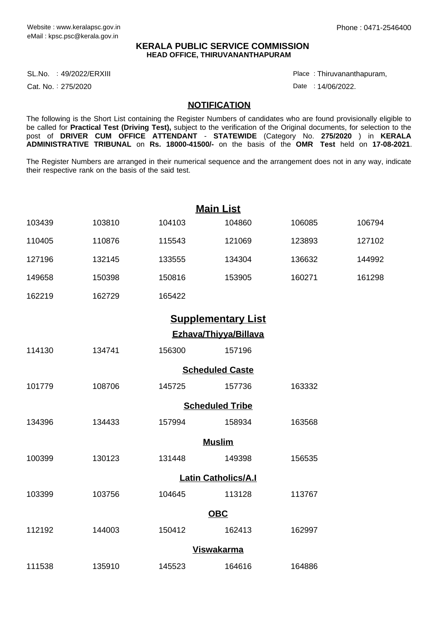## **KERALA PUBLIC SERVICE COMMISSION HEAD OFFICE, THIRUVANANTHAPURAM**

SL.No. :49/2022/ERXIII Place Product and the set of the set of the set of the set of the set of the set of the

Cat. No.: 275/2020

Thiruvananthapuram, :

Date: 14/06/2022.

## **NOTIFICATION**

The following is the Short List containing the Register Numbers of candidates who are found provisionally eligible to be called for **Practical Test (Driving Test),** subject to the verification of the Original documents, for selection to the post of **DRIVER CUM OFFICE ATTENDANT** - **STATEWIDE** (Category No. **275/2020** ) in **KERALA ADMINISTRATIVE TRIBUNAL** on **Rs. 18000-41500/-** on the basis of the **OMR Test** held on **17-08-2021**.

The Register Numbers are arranged in their numerical sequence and the arrangement does not in any way, indicate their respective rank on the basis of the said test.

|                       |        |        | <b>Main List</b>           |        |        |  |  |  |
|-----------------------|--------|--------|----------------------------|--------|--------|--|--|--|
| 103439                | 103810 | 104103 | 104860                     | 106085 | 106794 |  |  |  |
| 110405                | 110876 | 115543 | 121069                     | 123893 | 127102 |  |  |  |
| 127196                | 132145 | 133555 | 134304                     | 136632 | 144992 |  |  |  |
| 149658                | 150398 | 150816 | 153905                     | 160271 | 161298 |  |  |  |
| 162219                | 162729 | 165422 |                            |        |        |  |  |  |
|                       |        |        | <b>Supplementary List</b>  |        |        |  |  |  |
| Ezhava/Thiyya/Billava |        |        |                            |        |        |  |  |  |
| 114130                | 134741 | 156300 | 157196                     |        |        |  |  |  |
|                       |        |        | <b>Scheduled Caste</b>     |        |        |  |  |  |
| 101779                | 108706 | 145725 | 157736                     | 163332 |        |  |  |  |
|                       |        |        | <b>Scheduled Tribe</b>     |        |        |  |  |  |
| 134396                | 134433 | 157994 | 158934                     | 163568 |        |  |  |  |
|                       |        |        | <b>Muslim</b>              |        |        |  |  |  |
| 100399                | 130123 | 131448 | 149398                     | 156535 |        |  |  |  |
|                       |        |        | <b>Latin Catholics/A.I</b> |        |        |  |  |  |
| 103399                | 103756 | 104645 | 113128                     | 113767 |        |  |  |  |
|                       |        |        | <b>OBC</b>                 |        |        |  |  |  |
| 112192                | 144003 | 150412 | 162413                     | 162997 |        |  |  |  |
|                       |        |        | <b>Viswakarma</b>          |        |        |  |  |  |
| 111538                | 135910 | 145523 | 164616                     | 164886 |        |  |  |  |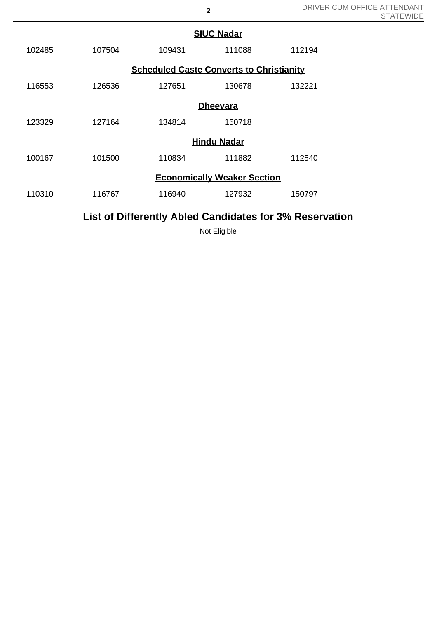|        | <b>SIUC Nadar</b> |                                                 |        |        |  |  |  |
|--------|-------------------|-------------------------------------------------|--------|--------|--|--|--|
| 102485 | 107504            | 109431                                          | 111088 | 112194 |  |  |  |
|        |                   | <b>Scheduled Caste Converts to Christianity</b> |        |        |  |  |  |
| 116553 | 126536            | 127651                                          | 130678 | 132221 |  |  |  |
|        |                   | <b>Dheevara</b>                                 |        |        |  |  |  |
| 123329 | 127164            | 134814                                          | 150718 |        |  |  |  |
|        |                   | <b>Hindu Nadar</b>                              |        |        |  |  |  |
| 100167 | 101500            | 110834                                          | 111882 | 112540 |  |  |  |
|        |                   | <b>Economically Weaker Section</b>              |        |        |  |  |  |
| 110310 | 116767            | 116940                                          | 127932 | 150797 |  |  |  |
|        |                   |                                                 |        |        |  |  |  |

## **List of Differently Abled Candidates for 3% Reservation**

Not Eligible